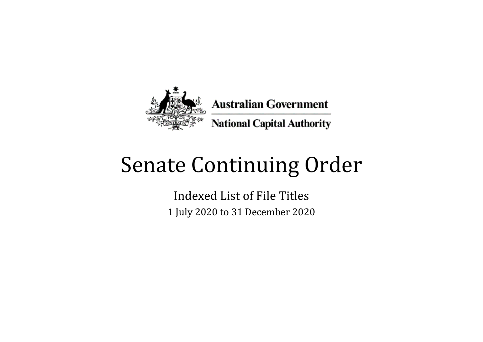

## Senate Continuing Order

Indexed List of File Titles 1 July 2020 to 31 December 2020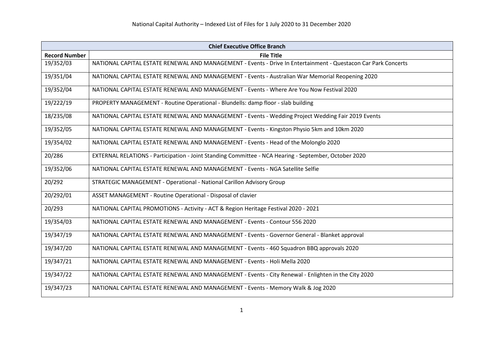|                      | <b>Chief Executive Office Branch</b>                                                                           |  |
|----------------------|----------------------------------------------------------------------------------------------------------------|--|
| <b>Record Number</b> | <b>File Title</b>                                                                                              |  |
| 19/352/03            | NATIONAL CAPITAL ESTATE RENEWAL AND MANAGEMENT - Events - Drive In Entertainment - Questacon Car Park Concerts |  |
| 19/351/04            | NATIONAL CAPITAL ESTATE RENEWAL AND MANAGEMENT - Events - Australian War Memorial Reopening 2020               |  |
| 19/352/04            | NATIONAL CAPITAL ESTATE RENEWAL AND MANAGEMENT - Events - Where Are You Now Festival 2020                      |  |
| 19/222/19            | PROPERTY MANAGEMENT - Routine Operational - Blundells: damp floor - slab building                              |  |
| 18/235/08            | NATIONAL CAPITAL ESTATE RENEWAL AND MANAGEMENT - Events - Wedding Project Wedding Fair 2019 Events             |  |
| 19/352/05            | NATIONAL CAPITAL ESTATE RENEWAL AND MANAGEMENT - Events - Kingston Physio 5km and 10km 2020                    |  |
| 19/354/02            | NATIONAL CAPITAL ESTATE RENEWAL AND MANAGEMENT - Events - Head of the Molonglo 2020                            |  |
| 20/286               | EXTERNAL RELATIONS - Participation - Joint Standing Committee - NCA Hearing - September, October 2020          |  |
| 19/352/06            | NATIONAL CAPITAL ESTATE RENEWAL AND MANAGEMENT - Events - NGA Satellite Selfie                                 |  |
| 20/292               | STRATEGIC MANAGEMENT - Operational - National Carillon Advisory Group                                          |  |
| 20/292/01            | ASSET MANAGEMENT - Routine Operational - Disposal of clavier                                                   |  |
| 20/293               | NATIONAL CAPITAL PROMOTIONS - Activity - ACT & Region Heritage Festival 2020 - 2021                            |  |
| 19/354/03            | NATIONAL CAPITAL ESTATE RENEWAL AND MANAGEMENT - Events - Contour 556 2020                                     |  |
| 19/347/19            | NATIONAL CAPITAL ESTATE RENEWAL AND MANAGEMENT - Events - Governor General - Blanket approval                  |  |
| 19/347/20            | NATIONAL CAPITAL ESTATE RENEWAL AND MANAGEMENT - Events - 460 Squadron BBQ approvals 2020                      |  |
| 19/347/21            | NATIONAL CAPITAL ESTATE RENEWAL AND MANAGEMENT - Events - Holi Mella 2020                                      |  |
| 19/347/22            | NATIONAL CAPITAL ESTATE RENEWAL AND MANAGEMENT - Events - City Renewal - Enlighten in the City 2020            |  |
| 19/347/23            | NATIONAL CAPITAL ESTATE RENEWAL AND MANAGEMENT - Events - Memory Walk & Jog 2020                               |  |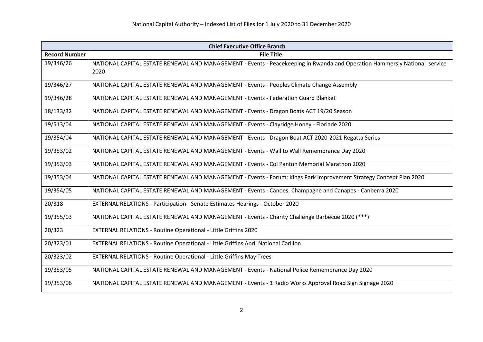| <b>Chief Executive Office Branch</b> |                                                                                                                                   |
|--------------------------------------|-----------------------------------------------------------------------------------------------------------------------------------|
| <b>Record Number</b>                 | <b>File Title</b>                                                                                                                 |
| 19/346/26                            | NATIONAL CAPITAL ESTATE RENEWAL AND MANAGEMENT - Events - Peacekeeping in Rwanda and Operation Hammersly National service<br>2020 |
| 19/346/27                            | NATIONAL CAPITAL ESTATE RENEWAL AND MANAGEMENT - Events - Peoples Climate Change Assembly                                         |
| 19/346/28                            | NATIONAL CAPITAL ESTATE RENEWAL AND MANAGEMENT - Events - Federation Guard Blanket                                                |
| 18/133/32                            | NATIONAL CAPITAL ESTATE RENEWAL AND MANAGEMENT - Events - Dragon Boats ACT 19/20 Season                                           |
| 19/513/04                            | NATIONAL CAPITAL ESTATE RENEWAL AND MANAGEMENT - Events - Clayridge Honey - Floriade 2020                                         |
| 19/354/04                            | NATIONAL CAPITAL ESTATE RENEWAL AND MANAGEMENT - Events - Dragon Boat ACT 2020-2021 Regatta Series                                |
| 19/353/02                            | NATIONAL CAPITAL ESTATE RENEWAL AND MANAGEMENT - Events - Wall to Wall Remembrance Day 2020                                       |
| 19/353/03                            | NATIONAL CAPITAL ESTATE RENEWAL AND MANAGEMENT - Events - Col Panton Memorial Marathon 2020                                       |
| 19/353/04                            | NATIONAL CAPITAL ESTATE RENEWAL AND MANAGEMENT - Events - Forum: Kings Park Improvement Strategy Concept Plan 2020                |
| 19/354/05                            | NATIONAL CAPITAL ESTATE RENEWAL AND MANAGEMENT - Events - Canoes, Champagne and Canapes - Canberra 2020                           |
| 20/318                               | EXTERNAL RELATIONS - Participation - Senate Estimates Hearings - October 2020                                                     |
| 19/355/03                            | NATIONAL CAPITAL ESTATE RENEWAL AND MANAGEMENT - Events - Charity Challenge Barbecue 2020 (***)                                   |
| 20/323                               | EXTERNAL RELATIONS - Routine Operational - Little Griffins 2020                                                                   |
| 20/323/01                            | EXTERNAL RELATIONS - Routine Operational - Little Griffins April National Carillon                                                |
| 20/323/02                            | <b>EXTERNAL RELATIONS - Routine Operational - Little Griffins May Trees</b>                                                       |
| 19/353/05                            | NATIONAL CAPITAL ESTATE RENEWAL AND MANAGEMENT - Events - National Police Remembrance Day 2020                                    |
| 19/353/06                            | NATIONAL CAPITAL ESTATE RENEWAL AND MANAGEMENT - Events - 1 Radio Works Approval Road Sign Signage 2020                           |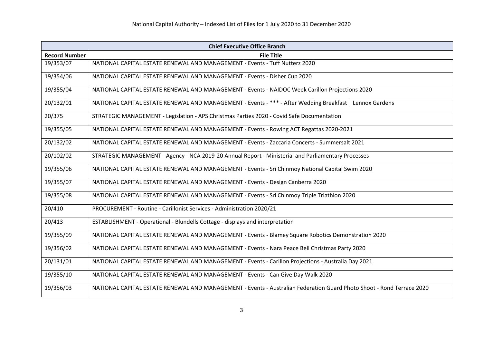| <b>Chief Executive Office Branch</b> |                                                                                                                       |
|--------------------------------------|-----------------------------------------------------------------------------------------------------------------------|
| <b>Record Number</b>                 | <b>File Title</b>                                                                                                     |
| 19/353/07                            | NATIONAL CAPITAL ESTATE RENEWAL AND MANAGEMENT - Events - Tuff Nutterz 2020                                           |
| 19/354/06                            | NATIONAL CAPITAL ESTATE RENEWAL AND MANAGEMENT - Events - Disher Cup 2020                                             |
| 19/355/04                            | NATIONAL CAPITAL ESTATE RENEWAL AND MANAGEMENT - Events - NAIDOC Week Carillon Projections 2020                       |
| 20/132/01                            | NATIONAL CAPITAL ESTATE RENEWAL AND MANAGEMENT - Events - *** - After Wedding Breakfast   Lennox Gardens              |
| 20/375                               | STRATEGIC MANAGEMENT - Legislation - APS Christmas Parties 2020 - Covid Safe Documentation                            |
| 19/355/05                            | NATIONAL CAPITAL ESTATE RENEWAL AND MANAGEMENT - Events - Rowing ACT Regattas 2020-2021                               |
| 20/132/02                            | NATIONAL CAPITAL ESTATE RENEWAL AND MANAGEMENT - Events - Zaccaria Concerts - Summersalt 2021                         |
| 20/102/02                            | STRATEGIC MANAGEMENT - Agency - NCA 2019-20 Annual Report - Ministerial and Parliamentary Processes                   |
| 19/355/06                            | NATIONAL CAPITAL ESTATE RENEWAL AND MANAGEMENT - Events - Sri Chinmoy National Capital Swim 2020                      |
| 19/355/07                            | NATIONAL CAPITAL ESTATE RENEWAL AND MANAGEMENT - Events - Design Canberra 2020                                        |
| 19/355/08                            | NATIONAL CAPITAL ESTATE RENEWAL AND MANAGEMENT - Events - Sri Chinmoy Triple Triathlon 2020                           |
| 20/410                               | PROCUREMENT - Routine - Carillonist Services - Administration 2020/21                                                 |
| 20/413                               | ESTABLISHMENT - Operational - Blundells Cottage - displays and interpretation                                         |
| 19/355/09                            | NATIONAL CAPITAL ESTATE RENEWAL AND MANAGEMENT - Events - Blamey Square Robotics Demonstration 2020                   |
| 19/356/02                            | NATIONAL CAPITAL ESTATE RENEWAL AND MANAGEMENT - Events - Nara Peace Bell Christmas Party 2020                        |
| 20/131/01                            | NATIONAL CAPITAL ESTATE RENEWAL AND MANAGEMENT - Events - Carillon Projections - Australia Day 2021                   |
| 19/355/10                            | NATIONAL CAPITAL ESTATE RENEWAL AND MANAGEMENT - Events - Can Give Day Walk 2020                                      |
| 19/356/03                            | NATIONAL CAPITAL ESTATE RENEWAL AND MANAGEMENT - Events - Australian Federation Guard Photo Shoot - Rond Terrace 2020 |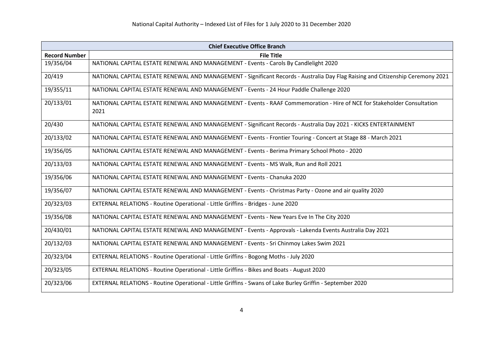| <b>Chief Executive Office Branch</b> |                                                                                                                                 |
|--------------------------------------|---------------------------------------------------------------------------------------------------------------------------------|
| <b>Record Number</b>                 | <b>File Title</b>                                                                                                               |
| 19/356/04                            | NATIONAL CAPITAL ESTATE RENEWAL AND MANAGEMENT - Events - Carols By Candlelight 2020                                            |
| 20/419                               | NATIONAL CAPITAL ESTATE RENEWAL AND MANAGEMENT - Significant Records - Australia Day Flag Raising and Citizenship Ceremony 2021 |
| 19/355/11                            | NATIONAL CAPITAL ESTATE RENEWAL AND MANAGEMENT - Events - 24 Hour Paddle Challenge 2020                                         |
| 20/133/01                            | NATIONAL CAPITAL ESTATE RENEWAL AND MANAGEMENT - Events - RAAF Commemoration - Hire of NCE for Stakeholder Consultation<br>2021 |
| 20/430                               | NATIONAL CAPITAL ESTATE RENEWAL AND MANAGEMENT - Significant Records - Australia Day 2021 - KICKS ENTERTAINMENT                 |
| 20/133/02                            | NATIONAL CAPITAL ESTATE RENEWAL AND MANAGEMENT - Events - Frontier Touring - Concert at Stage 88 - March 2021                   |
| 19/356/05                            | NATIONAL CAPITAL ESTATE RENEWAL AND MANAGEMENT - Events - Berima Primary School Photo - 2020                                    |
| 20/133/03                            | NATIONAL CAPITAL ESTATE RENEWAL AND MANAGEMENT - Events - MS Walk, Run and Roll 2021                                            |
| 19/356/06                            | NATIONAL CAPITAL ESTATE RENEWAL AND MANAGEMENT - Events - Chanuka 2020                                                          |
| 19/356/07                            | NATIONAL CAPITAL ESTATE RENEWAL AND MANAGEMENT - Events - Christmas Party - Ozone and air quality 2020                          |
| 20/323/03                            | EXTERNAL RELATIONS - Routine Operational - Little Griffins - Bridges - June 2020                                                |
| 19/356/08                            | NATIONAL CAPITAL ESTATE RENEWAL AND MANAGEMENT - Events - New Years Eve In The City 2020                                        |
| 20/430/01                            | NATIONAL CAPITAL ESTATE RENEWAL AND MANAGEMENT - Events - Approvals - Lakenda Events Australia Day 2021                         |
| 20/132/03                            | NATIONAL CAPITAL ESTATE RENEWAL AND MANAGEMENT - Events - Sri Chinmoy Lakes Swim 2021                                           |
| 20/323/04                            | EXTERNAL RELATIONS - Routine Operational - Little Griffins - Bogong Moths - July 2020                                           |
| 20/323/05                            | EXTERNAL RELATIONS - Routine Operational - Little Griffins - Bikes and Boats - August 2020                                      |
| 20/323/06                            | EXTERNAL RELATIONS - Routine Operational - Little Griffins - Swans of Lake Burley Griffin - September 2020                      |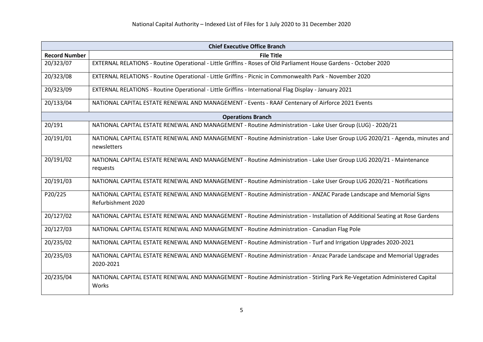| <b>Chief Executive Office Branch</b> |                                                                                                                                            |
|--------------------------------------|--------------------------------------------------------------------------------------------------------------------------------------------|
| <b>Record Number</b>                 | <b>File Title</b>                                                                                                                          |
| 20/323/07                            | EXTERNAL RELATIONS - Routine Operational - Little Griffins - Roses of Old Parliament House Gardens - October 2020                          |
| 20/323/08                            | EXTERNAL RELATIONS - Routine Operational - Little Griffins - Picnic in Commonwealth Park - November 2020                                   |
| 20/323/09                            | EXTERNAL RELATIONS - Routine Operational - Little Griffins - International Flag Display - January 2021                                     |
| 20/133/04                            | NATIONAL CAPITAL ESTATE RENEWAL AND MANAGEMENT - Events - RAAF Centenary of Airforce 2021 Events                                           |
|                                      | <b>Operations Branch</b>                                                                                                                   |
| 20/191                               | NATIONAL CAPITAL ESTATE RENEWAL AND MANAGEMENT - Routine Administration - Lake User Group (LUG) - 2020/21                                  |
| 20/191/01                            | NATIONAL CAPITAL ESTATE RENEWAL AND MANAGEMENT - Routine Administration - Lake User Group LUG 2020/21 - Agenda, minutes and<br>newsletters |
| 20/191/02                            | NATIONAL CAPITAL ESTATE RENEWAL AND MANAGEMENT - Routine Administration - Lake User Group LUG 2020/21 - Maintenance<br>requests            |
| 20/191/03                            | NATIONAL CAPITAL ESTATE RENEWAL AND MANAGEMENT - Routine Administration - Lake User Group LUG 2020/21 - Notifications                      |
| P20/225                              | NATIONAL CAPITAL ESTATE RENEWAL AND MANAGEMENT - Routine Administration - ANZAC Parade Landscape and Memorial Signs<br>Refurbishment 2020  |
| 20/127/02                            | NATIONAL CAPITAL ESTATE RENEWAL AND MANAGEMENT - Routine Administration - Installation of Additional Seating at Rose Gardens               |
| 20/127/03                            | NATIONAL CAPITAL ESTATE RENEWAL AND MANAGEMENT - Routine Administration - Canadian Flag Pole                                               |
| 20/235/02                            | NATIONAL CAPITAL ESTATE RENEWAL AND MANAGEMENT - Routine Administration - Turf and Irrigation Upgrades 2020-2021                           |
| 20/235/03                            | NATIONAL CAPITAL ESTATE RENEWAL AND MANAGEMENT - Routine Administration - Anzac Parade Landscape and Memorial Upgrades<br>2020-2021        |
| 20/235/04                            | NATIONAL CAPITAL ESTATE RENEWAL AND MANAGEMENT - Routine Administration - Stirling Park Re-Vegetation Administered Capital<br>Works        |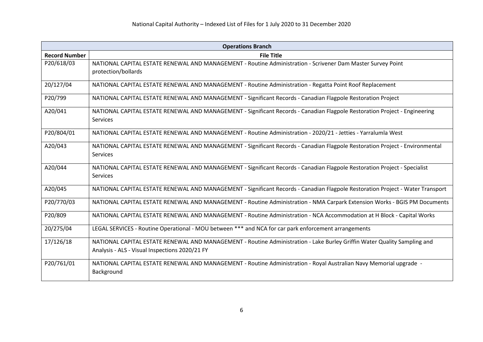|                      | <b>Operations Branch</b>                                                                                                                                                   |  |
|----------------------|----------------------------------------------------------------------------------------------------------------------------------------------------------------------------|--|
| <b>Record Number</b> | <b>File Title</b>                                                                                                                                                          |  |
| P20/618/03           | NATIONAL CAPITAL ESTATE RENEWAL AND MANAGEMENT - Routine Administration - Scrivener Dam Master Survey Point<br>protection/bollards                                         |  |
| 20/127/04            | NATIONAL CAPITAL ESTATE RENEWAL AND MANAGEMENT - Routine Administration - Regatta Point Roof Replacement                                                                   |  |
| P20/799              | NATIONAL CAPITAL ESTATE RENEWAL AND MANAGEMENT - Significant Records - Canadian Flagpole Restoration Project                                                               |  |
| A20/041              | NATIONAL CAPITAL ESTATE RENEWAL AND MANAGEMENT - Significant Records - Canadian Flagpole Restoration Project - Engineering<br>Services                                     |  |
| P20/804/01           | NATIONAL CAPITAL ESTATE RENEWAL AND MANAGEMENT - Routine Administration - 2020/21 - Jetties - Yarralumla West                                                              |  |
| A20/043              | NATIONAL CAPITAL ESTATE RENEWAL AND MANAGEMENT - Significant Records - Canadian Flagpole Restoration Project - Environmental<br>Services                                   |  |
| A20/044              | NATIONAL CAPITAL ESTATE RENEWAL AND MANAGEMENT - Significant Records - Canadian Flagpole Restoration Project - Specialist<br>Services                                      |  |
| A20/045              | NATIONAL CAPITAL ESTATE RENEWAL AND MANAGEMENT - Significant Records - Canadian Flagpole Restoration Project - Water Transport                                             |  |
| P20/770/03           | NATIONAL CAPITAL ESTATE RENEWAL AND MANAGEMENT - Routine Administration - NMA Carpark Extension Works - BGIS PM Documents                                                  |  |
| P20/809              | NATIONAL CAPITAL ESTATE RENEWAL AND MANAGEMENT - Routine Administration - NCA Accommodation at H Block - Capital Works                                                     |  |
| 20/275/04            | LEGAL SERVICES - Routine Operational - MOU between *** and NCA for car park enforcement arrangements                                                                       |  |
| 17/126/18            | NATIONAL CAPITAL ESTATE RENEWAL AND MANAGEMENT - Routine Administration - Lake Burley Griffin Water Quality Sampling and<br>Analysis - ALS - Visual Inspections 2020/21 FY |  |
| P20/761/01           | NATIONAL CAPITAL ESTATE RENEWAL AND MANAGEMENT - Routine Administration - Royal Australian Navy Memorial upgrade -<br>Background                                           |  |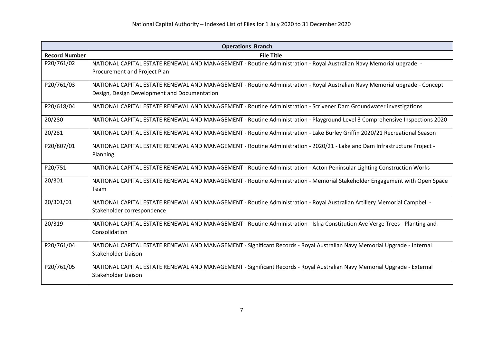|                      | <b>Operations Branch</b>                                                                                                    |  |
|----------------------|-----------------------------------------------------------------------------------------------------------------------------|--|
| <b>Record Number</b> | <b>File Title</b>                                                                                                           |  |
| P20/761/02           | NATIONAL CAPITAL ESTATE RENEWAL AND MANAGEMENT - Routine Administration - Royal Australian Navy Memorial upgrade -          |  |
|                      | Procurement and Project Plan                                                                                                |  |
| P20/761/03           | NATIONAL CAPITAL ESTATE RENEWAL AND MANAGEMENT - Routine Administration - Royal Australian Navy Memorial upgrade - Concept  |  |
|                      | Design, Design Development and Documentation                                                                                |  |
| P20/618/04           | NATIONAL CAPITAL ESTATE RENEWAL AND MANAGEMENT - Routine Administration - Scrivener Dam Groundwater investigations          |  |
| 20/280               | NATIONAL CAPITAL ESTATE RENEWAL AND MANAGEMENT - Routine Administration - Playground Level 3 Comprehensive Inspections 2020 |  |
| 20/281               | NATIONAL CAPITAL ESTATE RENEWAL AND MANAGEMENT - Routine Administration - Lake Burley Griffin 2020/21 Recreational Season   |  |
| P20/807/01           | NATIONAL CAPITAL ESTATE RENEWAL AND MANAGEMENT - Routine Administration - 2020/21 - Lake and Dam Infrastructure Project -   |  |
|                      | Planning                                                                                                                    |  |
| P20/751              | NATIONAL CAPITAL ESTATE RENEWAL AND MANAGEMENT - Routine Administration - Acton Peninsular Lighting Construction Works      |  |
| 20/301               | NATIONAL CAPITAL ESTATE RENEWAL AND MANAGEMENT - Routine Administration - Memorial Stakeholder Engagement with Open Space   |  |
|                      | Team                                                                                                                        |  |
| 20/301/01            | NATIONAL CAPITAL ESTATE RENEWAL AND MANAGEMENT - Routine Administration - Royal Australian Artillery Memorial Campbell -    |  |
|                      | Stakeholder correspondence                                                                                                  |  |
| 20/319               | NATIONAL CAPITAL ESTATE RENEWAL AND MANAGEMENT - Routine Administration - Iskia Constitution Ave Verge Trees - Planting and |  |
|                      | Consolidation                                                                                                               |  |
| P20/761/04           | NATIONAL CAPITAL ESTATE RENEWAL AND MANAGEMENT - Significant Records - Royal Australian Navy Memorial Upgrade - Internal    |  |
|                      | Stakeholder Liaison                                                                                                         |  |
| P20/761/05           | NATIONAL CAPITAL ESTATE RENEWAL AND MANAGEMENT - Significant Records - Royal Australian Navy Memorial Upgrade - External    |  |
|                      | Stakeholder Liaison                                                                                                         |  |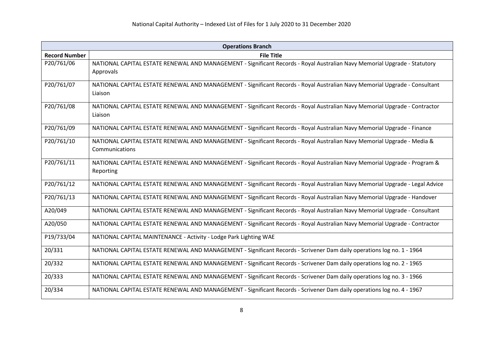| <b>Operations Branch</b> |                                                                                                                                           |
|--------------------------|-------------------------------------------------------------------------------------------------------------------------------------------|
| <b>Record Number</b>     | <b>File Title</b>                                                                                                                         |
| P20/761/06               | NATIONAL CAPITAL ESTATE RENEWAL AND MANAGEMENT - Significant Records - Royal Australian Navy Memorial Upgrade - Statutory<br>Approvals    |
| P20/761/07               | NATIONAL CAPITAL ESTATE RENEWAL AND MANAGEMENT - Significant Records - Royal Australian Navy Memorial Upgrade - Consultant<br>Liaison     |
| P20/761/08               | NATIONAL CAPITAL ESTATE RENEWAL AND MANAGEMENT - Significant Records - Royal Australian Navy Memorial Upgrade - Contractor<br>Liaison     |
| P20/761/09               | NATIONAL CAPITAL ESTATE RENEWAL AND MANAGEMENT - Significant Records - Royal Australian Navy Memorial Upgrade - Finance                   |
| P20/761/10               | NATIONAL CAPITAL ESTATE RENEWAL AND MANAGEMENT - Significant Records - Royal Australian Navy Memorial Upgrade - Media &<br>Communications |
| P20/761/11               | NATIONAL CAPITAL ESTATE RENEWAL AND MANAGEMENT - Significant Records - Royal Australian Navy Memorial Upgrade - Program &<br>Reporting    |
| P20/761/12               | NATIONAL CAPITAL ESTATE RENEWAL AND MANAGEMENT - Significant Records - Royal Australian Navy Memorial Upgrade - Legal Advice              |
| P20/761/13               | NATIONAL CAPITAL ESTATE RENEWAL AND MANAGEMENT - Significant Records - Royal Australian Navy Memorial Upgrade - Handover                  |
| A20/049                  | NATIONAL CAPITAL ESTATE RENEWAL AND MANAGEMENT - Significant Records - Royal Australian Navy Memorial Upgrade - Consultant                |
| A20/050                  | NATIONAL CAPITAL ESTATE RENEWAL AND MANAGEMENT - Significant Records - Royal Australian Navy Memorial Upgrade - Contractor                |
| P19/733/04               | NATIONAL CAPITAL MAINTENANCE - Activity - Lodge Park Lighting WAE                                                                         |
| 20/331                   | NATIONAL CAPITAL ESTATE RENEWAL AND MANAGEMENT - Significant Records - Scrivener Dam daily operations log no. 1 - 1964                    |
| 20/332                   | NATIONAL CAPITAL ESTATE RENEWAL AND MANAGEMENT - Significant Records - Scrivener Dam daily operations log no. 2 - 1965                    |
| 20/333                   | NATIONAL CAPITAL ESTATE RENEWAL AND MANAGEMENT - Significant Records - Scrivener Dam daily operations log no. 3 - 1966                    |
| 20/334                   | NATIONAL CAPITAL ESTATE RENEWAL AND MANAGEMENT - Significant Records - Scrivener Dam daily operations log no. 4 - 1967                    |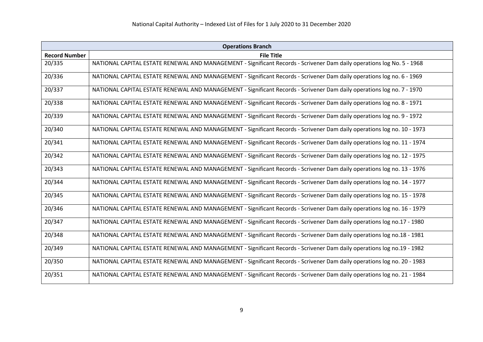| <b>Operations Branch</b> |                                                                                                                         |
|--------------------------|-------------------------------------------------------------------------------------------------------------------------|
| <b>Record Number</b>     | <b>File Title</b>                                                                                                       |
| 20/335                   | NATIONAL CAPITAL ESTATE RENEWAL AND MANAGEMENT - Significant Records - Scrivener Dam daily operations log No. 5 - 1968  |
| 20/336                   | NATIONAL CAPITAL ESTATE RENEWAL AND MANAGEMENT - Significant Records - Scrivener Dam daily operations log no. 6 - 1969  |
| 20/337                   | NATIONAL CAPITAL ESTATE RENEWAL AND MANAGEMENT - Significant Records - Scrivener Dam daily operations log no. 7 - 1970  |
| 20/338                   | NATIONAL CAPITAL ESTATE RENEWAL AND MANAGEMENT - Significant Records - Scrivener Dam daily operations log no. 8 - 1971  |
| 20/339                   | NATIONAL CAPITAL ESTATE RENEWAL AND MANAGEMENT - Significant Records - Scrivener Dam daily operations log no. 9 - 1972  |
| 20/340                   | NATIONAL CAPITAL ESTATE RENEWAL AND MANAGEMENT - Significant Records - Scrivener Dam daily operations log no. 10 - 1973 |
| 20/341                   | NATIONAL CAPITAL ESTATE RENEWAL AND MANAGEMENT - Significant Records - Scrivener Dam daily operations log no. 11 - 1974 |
| 20/342                   | NATIONAL CAPITAL ESTATE RENEWAL AND MANAGEMENT - Significant Records - Scrivener Dam daily operations log no. 12 - 1975 |
| 20/343                   | NATIONAL CAPITAL ESTATE RENEWAL AND MANAGEMENT - Significant Records - Scrivener Dam daily operations log no. 13 - 1976 |
| 20/344                   | NATIONAL CAPITAL ESTATE RENEWAL AND MANAGEMENT - Significant Records - Scrivener Dam daily operations log no. 14 - 1977 |
| 20/345                   | NATIONAL CAPITAL ESTATE RENEWAL AND MANAGEMENT - Significant Records - Scrivener Dam daily operations log no. 15 - 1978 |
| 20/346                   | NATIONAL CAPITAL ESTATE RENEWAL AND MANAGEMENT - Significant Records - Scrivener Dam daily operations log no. 16 - 1979 |
| 20/347                   | NATIONAL CAPITAL ESTATE RENEWAL AND MANAGEMENT - Significant Records - Scrivener Dam daily operations log no.17 - 1980  |
| 20/348                   | NATIONAL CAPITAL ESTATE RENEWAL AND MANAGEMENT - Significant Records - Scrivener Dam daily operations log no.18 - 1981  |
| 20/349                   | NATIONAL CAPITAL ESTATE RENEWAL AND MANAGEMENT - Significant Records - Scrivener Dam daily operations log no.19 - 1982  |
| 20/350                   | NATIONAL CAPITAL ESTATE RENEWAL AND MANAGEMENT - Significant Records - Scrivener Dam daily operations log no. 20 - 1983 |
| 20/351                   | NATIONAL CAPITAL ESTATE RENEWAL AND MANAGEMENT - Significant Records - Scrivener Dam daily operations log no. 21 - 1984 |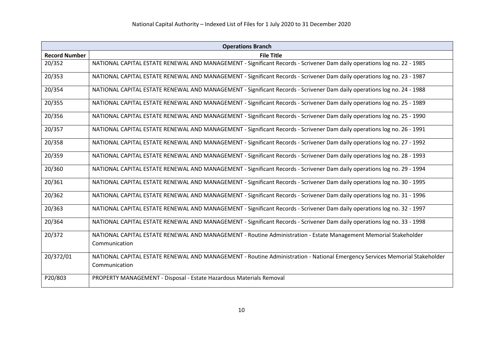|                      | <b>Operations Branch</b>                                                                                                   |  |
|----------------------|----------------------------------------------------------------------------------------------------------------------------|--|
| <b>Record Number</b> | <b>File Title</b>                                                                                                          |  |
| 20/352               | NATIONAL CAPITAL ESTATE RENEWAL AND MANAGEMENT - Significant Records - Scrivener Dam daily operations log no. 22 - 1985    |  |
| 20/353               | NATIONAL CAPITAL ESTATE RENEWAL AND MANAGEMENT - Significant Records - Scrivener Dam daily operations log no. 23 - 1987    |  |
| 20/354               | NATIONAL CAPITAL ESTATE RENEWAL AND MANAGEMENT - Significant Records - Scrivener Dam daily operations log no. 24 - 1988    |  |
| 20/355               | NATIONAL CAPITAL ESTATE RENEWAL AND MANAGEMENT - Significant Records - Scrivener Dam daily operations log no. 25 - 1989    |  |
| 20/356               | NATIONAL CAPITAL ESTATE RENEWAL AND MANAGEMENT - Significant Records - Scrivener Dam daily operations log no. 25 - 1990    |  |
| 20/357               | NATIONAL CAPITAL ESTATE RENEWAL AND MANAGEMENT - Significant Records - Scrivener Dam daily operations log no. 26 - 1991    |  |
| 20/358               | NATIONAL CAPITAL ESTATE RENEWAL AND MANAGEMENT - Significant Records - Scrivener Dam daily operations log no. 27 - 1992    |  |
| 20/359               | NATIONAL CAPITAL ESTATE RENEWAL AND MANAGEMENT - Significant Records - Scrivener Dam daily operations log no. 28 - 1993    |  |
| 20/360               | NATIONAL CAPITAL ESTATE RENEWAL AND MANAGEMENT - Significant Records - Scrivener Dam daily operations log no. 29 - 1994    |  |
| 20/361               | NATIONAL CAPITAL ESTATE RENEWAL AND MANAGEMENT - Significant Records - Scrivener Dam daily operations log no. 30 - 1995    |  |
| 20/362               | NATIONAL CAPITAL ESTATE RENEWAL AND MANAGEMENT - Significant Records - Scrivener Dam daily operations log no. 31 - 1996    |  |
| 20/363               | NATIONAL CAPITAL ESTATE RENEWAL AND MANAGEMENT - Significant Records - Scrivener Dam daily operations log no. 32 - 1997    |  |
| 20/364               | NATIONAL CAPITAL ESTATE RENEWAL AND MANAGEMENT - Significant Records - Scrivener Dam daily operations log no. 33 - 1998    |  |
| 20/372               | NATIONAL CAPITAL ESTATE RENEWAL AND MANAGEMENT - Routine Administration - Estate Management Memorial Stakeholder           |  |
|                      | Communication                                                                                                              |  |
| 20/372/01            | NATIONAL CAPITAL ESTATE RENEWAL AND MANAGEMENT - Routine Administration - National Emergency Services Memorial Stakeholder |  |
|                      | Communication                                                                                                              |  |
| P20/803              | PROPERTY MANAGEMENT - Disposal - Estate Hazardous Materials Removal                                                        |  |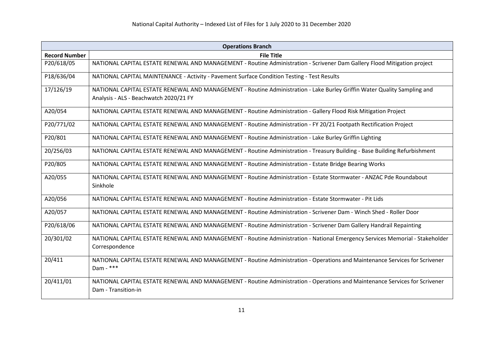| <b>Operations Branch</b> |                                                                                                                                                                    |
|--------------------------|--------------------------------------------------------------------------------------------------------------------------------------------------------------------|
| <b>Record Number</b>     | <b>File Title</b>                                                                                                                                                  |
| P20/618/05               | NATIONAL CAPITAL ESTATE RENEWAL AND MANAGEMENT - Routine Administration - Scrivener Dam Gallery Flood Mitigation project                                           |
| P18/636/04               | NATIONAL CAPITAL MAINTENANCE - Activity - Pavement Surface Condition Testing - Test Results                                                                        |
| 17/126/19                | NATIONAL CAPITAL ESTATE RENEWAL AND MANAGEMENT - Routine Administration - Lake Burley Griffin Water Quality Sampling and<br>Analysis - ALS - Beachwatch 2020/21 FY |
| A20/054                  | NATIONAL CAPITAL ESTATE RENEWAL AND MANAGEMENT - Routine Administration - Gallery Flood Risk Mitigation Project                                                    |
| P20/771/02               | NATIONAL CAPITAL ESTATE RENEWAL AND MANAGEMENT - Routine Administration - FY 20/21 Footpath Rectification Project                                                  |
| P20/801                  | NATIONAL CAPITAL ESTATE RENEWAL AND MANAGEMENT - Routine Administration - Lake Burley Griffin Lighting                                                             |
| 20/256/03                | NATIONAL CAPITAL ESTATE RENEWAL AND MANAGEMENT - Routine Administration - Treasury Building - Base Building Refurbishment                                          |
| P20/805                  | NATIONAL CAPITAL ESTATE RENEWAL AND MANAGEMENT - Routine Administration - Estate Bridge Bearing Works                                                              |
| A20/055                  | NATIONAL CAPITAL ESTATE RENEWAL AND MANAGEMENT - Routine Administration - Estate Stormwater - ANZAC Pde Roundabout<br>Sinkhole                                     |
| A20/056                  | NATIONAL CAPITAL ESTATE RENEWAL AND MANAGEMENT - Routine Administration - Estate Stormwater - Pit Lids                                                             |
| A20/057                  | NATIONAL CAPITAL ESTATE RENEWAL AND MANAGEMENT - Routine Administration - Scrivener Dam - Winch Shed - Roller Door                                                 |
| P20/618/06               | NATIONAL CAPITAL ESTATE RENEWAL AND MANAGEMENT - Routine Administration - Scrivener Dam Gallery Handrail Repainting                                                |
| 20/301/02                | NATIONAL CAPITAL ESTATE RENEWAL AND MANAGEMENT - Routine Administration - National Emergency Services Memorial - Stakeholder<br>Correspondence                     |
| 20/411                   | NATIONAL CAPITAL ESTATE RENEWAL AND MANAGEMENT - Routine Administration - Operations and Maintenance Services for Scrivener<br>$Dam - ***$                         |
| 20/411/01                | NATIONAL CAPITAL ESTATE RENEWAL AND MANAGEMENT - Routine Administration - Operations and Maintenance Services for Scrivener<br>Dam - Transition-in                 |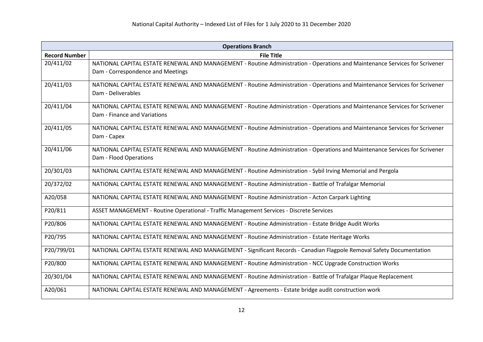| <b>Operations Branch</b> |                                                                                                                                                                  |
|--------------------------|------------------------------------------------------------------------------------------------------------------------------------------------------------------|
| <b>Record Number</b>     | <b>File Title</b>                                                                                                                                                |
| 20/411/02                | NATIONAL CAPITAL ESTATE RENEWAL AND MANAGEMENT - Routine Administration - Operations and Maintenance Services for Scrivener<br>Dam - Correspondence and Meetings |
| 20/411/03                | NATIONAL CAPITAL ESTATE RENEWAL AND MANAGEMENT - Routine Administration - Operations and Maintenance Services for Scrivener<br>Dam - Deliverables                |
| 20/411/04                | NATIONAL CAPITAL ESTATE RENEWAL AND MANAGEMENT - Routine Administration - Operations and Maintenance Services for Scrivener<br>Dam - Finance and Variations      |
| 20/411/05                | NATIONAL CAPITAL ESTATE RENEWAL AND MANAGEMENT - Routine Administration - Operations and Maintenance Services for Scrivener<br>Dam - Capex                       |
| 20/411/06                | NATIONAL CAPITAL ESTATE RENEWAL AND MANAGEMENT - Routine Administration - Operations and Maintenance Services for Scrivener<br>Dam - Flood Operations            |
| 20/301/03                | NATIONAL CAPITAL ESTATE RENEWAL AND MANAGEMENT - Routine Administration - Sybil Irving Memorial and Pergola                                                      |
| 20/372/02                | NATIONAL CAPITAL ESTATE RENEWAL AND MANAGEMENT - Routine Administration - Battle of Trafalgar Memorial                                                           |
| A20/058                  | NATIONAL CAPITAL ESTATE RENEWAL AND MANAGEMENT - Routine Administration - Acton Carpark Lighting                                                                 |
| P20/811                  | ASSET MANAGEMENT - Routine Operational - Traffic Management Services - Discrete Services                                                                         |
| P20/806                  | NATIONAL CAPITAL ESTATE RENEWAL AND MANAGEMENT - Routine Administration - Estate Bridge Audit Works                                                              |
| P20/795                  | NATIONAL CAPITAL ESTATE RENEWAL AND MANAGEMENT - Routine Administration - Estate Heritage Works                                                                  |
| P20/799/01               | NATIONAL CAPITAL ESTATE RENEWAL AND MANAGEMENT - Significant Records - Canadian Flagpole Removal Safety Documentation                                            |
| P20/800                  | NATIONAL CAPITAL ESTATE RENEWAL AND MANAGEMENT - Routine Administration - NCC Upgrade Construction Works                                                         |
| 20/301/04                | NATIONAL CAPITAL ESTATE RENEWAL AND MANAGEMENT - Routine Administration - Battle of Trafalgar Plaque Replacement                                                 |
| A20/061                  | NATIONAL CAPITAL ESTATE RENEWAL AND MANAGEMENT - Agreements - Estate bridge audit construction work                                                              |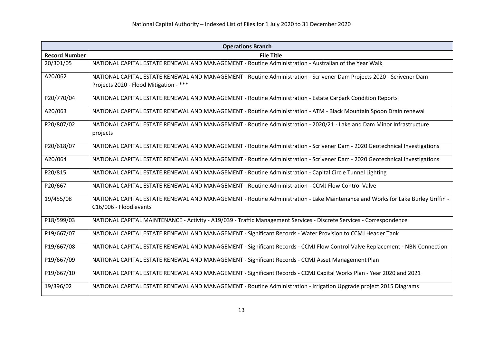| <b>Operations Branch</b> |                                                                                                                                |
|--------------------------|--------------------------------------------------------------------------------------------------------------------------------|
| <b>Record Number</b>     | <b>File Title</b>                                                                                                              |
| 20/301/05                | NATIONAL CAPITAL ESTATE RENEWAL AND MANAGEMENT - Routine Administration - Australian of the Year Walk                          |
| A20/062                  | NATIONAL CAPITAL ESTATE RENEWAL AND MANAGEMENT - Routine Administration - Scrivener Dam Projects 2020 - Scrivener Dam          |
|                          | Projects 2020 - Flood Mitigation - ***                                                                                         |
| P20/770/04               | NATIONAL CAPITAL ESTATE RENEWAL AND MANAGEMENT - Routine Administration - Estate Carpark Condition Reports                     |
| A20/063                  | NATIONAL CAPITAL ESTATE RENEWAL AND MANAGEMENT - Routine Administration - ATM - Black Mountain Spoon Drain renewal             |
| P20/807/02               | NATIONAL CAPITAL ESTATE RENEWAL AND MANAGEMENT - Routine Administration - 2020/21 - Lake and Dam Minor Infrastructure          |
|                          | projects                                                                                                                       |
| P20/618/07               | NATIONAL CAPITAL ESTATE RENEWAL AND MANAGEMENT - Routine Administration - Scrivener Dam - 2020 Geotechnical Investigations     |
| A20/064                  | NATIONAL CAPITAL ESTATE RENEWAL AND MANAGEMENT - Routine Administration - Scrivener Dam - 2020 Geotechnical Investigations     |
| P20/815                  | NATIONAL CAPITAL ESTATE RENEWAL AND MANAGEMENT - Routine Administration - Capital Circle Tunnel Lighting                       |
| P20/667                  | NATIONAL CAPITAL ESTATE RENEWAL AND MANAGEMENT - Routine Administration - CCMJ Flow Control Valve                              |
| 19/455/08                | NATIONAL CAPITAL ESTATE RENEWAL AND MANAGEMENT - Routine Administration - Lake Maintenance and Works for Lake Burley Griffin - |
|                          | C16/006 - Flood events                                                                                                         |
| P18/599/03               | NATIONAL CAPITAL MAINTENANCE - Activity - A19/039 - Traffic Management Services - Discrete Services - Correspondence           |
| P19/667/07               | NATIONAL CAPITAL ESTATE RENEWAL AND MANAGEMENT - Significant Records - Water Provision to CCMJ Header Tank                     |
| P19/667/08               | NATIONAL CAPITAL ESTATE RENEWAL AND MANAGEMENT - Significant Records - CCMJ Flow Control Valve Replacement - NBN Connection    |
| P19/667/09               | NATIONAL CAPITAL ESTATE RENEWAL AND MANAGEMENT - Significant Records - CCMJ Asset Management Plan                              |
| P19/667/10               | NATIONAL CAPITAL ESTATE RENEWAL AND MANAGEMENT - Significant Records - CCMJ Capital Works Plan - Year 2020 and 2021            |
| 19/396/02                | NATIONAL CAPITAL ESTATE RENEWAL AND MANAGEMENT - Routine Administration - Irrigation Upgrade project 2015 Diagrams             |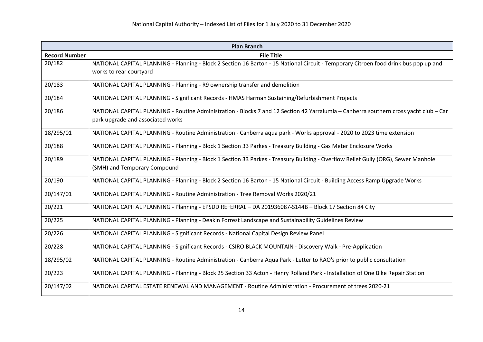| <b>Plan Branch</b>   |                                                                                                                                       |
|----------------------|---------------------------------------------------------------------------------------------------------------------------------------|
| <b>Record Number</b> | <b>File Title</b>                                                                                                                     |
| 20/182               | NATIONAL CAPITAL PLANNING - Planning - Block 2 Section 16 Barton - 15 National Circuit - Temporary Citroen food drink bus pop up and  |
|                      | works to rear courtyard                                                                                                               |
| 20/183               | NATIONAL CAPITAL PLANNING - Planning - R9 ownership transfer and demolition                                                           |
| 20/184               | NATIONAL CAPITAL PLANNING - Significant Records - HMAS Harman Sustaining/Refurbishment Projects                                       |
| 20/186               | NATIONAL CAPITAL PLANNING - Routine Administration - Blocks 7 and 12 Section 42 Yarralumla - Canberra southern cross yacht club - Car |
|                      | park upgrade and associated works                                                                                                     |
| 18/295/01            | NATIONAL CAPITAL PLANNING - Routine Administration - Canberra aqua park - Works approval - 2020 to 2023 time extension                |
| 20/188               | NATIONAL CAPITAL PLANNING - Planning - Block 1 Section 33 Parkes - Treasury Building - Gas Meter Enclosure Works                      |
| 20/189               | NATIONAL CAPITAL PLANNING - Planning - Block 1 Section 33 Parkes - Treasury Building - Overflow Relief Gully (ORG), Sewer Manhole     |
|                      | (SMH) and Temporary Compound                                                                                                          |
| 20/190               | NATIONAL CAPITAL PLANNING - Planning - Block 2 Section 16 Barton - 15 National Circuit - Building Access Ramp Upgrade Works           |
| 20/147/01            | NATIONAL CAPITAL PLANNING - Routine Administration - Tree Removal Works 2020/21                                                       |
| 20/221               | NATIONAL CAPITAL PLANNING - Planning - EPSDD REFERRAL - DA 201936087-S144B - Block 17 Section 84 City                                 |
| 20/225               | NATIONAL CAPITAL PLANNING - Planning - Deakin Forrest Landscape and Sustainability Guidelines Review                                  |
| 20/226               | NATIONAL CAPITAL PLANNING - Significant Records - National Capital Design Review Panel                                                |
| 20/228               | NATIONAL CAPITAL PLANNING - Significant Records - CSIRO BLACK MOUNTAIN - Discovery Walk - Pre-Application                             |
| 18/295/02            | NATIONAL CAPITAL PLANNING - Routine Administration - Canberra Aqua Park - Letter to RAO's prior to public consultation                |
| 20/223               | NATIONAL CAPITAL PLANNING - Planning - Block 25 Section 33 Acton - Henry Rolland Park - Installation of One Bike Repair Station       |
| 20/147/02            | NATIONAL CAPITAL ESTATE RENEWAL AND MANAGEMENT - Routine Administration - Procurement of trees 2020-21                                |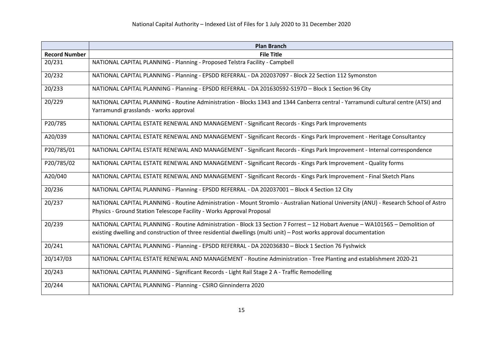|                      | <b>Plan Branch</b>                                                                                                                   |
|----------------------|--------------------------------------------------------------------------------------------------------------------------------------|
| <b>Record Number</b> | <b>File Title</b>                                                                                                                    |
| 20/231               | NATIONAL CAPITAL PLANNING - Planning - Proposed Telstra Facility - Campbell                                                          |
| 20/232               | NATIONAL CAPITAL PLANNING - Planning - EPSDD REFERRAL - DA 202037097 - Block 22 Section 112 Symonston                                |
| 20/233               | NATIONAL CAPITAL PLANNING - Planning - EPSDD REFERRAL - DA 201630592-S197D - Block 1 Section 96 City                                 |
| 20/229               | NATIONAL CAPITAL PLANNING - Routine Administration - Blocks 1343 and 1344 Canberra central - Yarramundi cultural centre (ATSI) and   |
|                      | Yarramundi grasslands - works approval                                                                                               |
| P20/785              | NATIONAL CAPITAL ESTATE RENEWAL AND MANAGEMENT - Significant Records - Kings Park Improvements                                       |
| A20/039              | NATIONAL CAPITAL ESTATE RENEWAL AND MANAGEMENT - Significant Records - Kings Park Improvement - Heritage Consultantcy                |
| P20/785/01           | NATIONAL CAPITAL ESTATE RENEWAL AND MANAGEMENT - Significant Records - Kings Park Improvement - Internal correspondence              |
| P20/785/02           | NATIONAL CAPITAL ESTATE RENEWAL AND MANAGEMENT - Significant Records - Kings Park Improvement - Quality forms                        |
| A20/040              | NATIONAL CAPITAL ESTATE RENEWAL AND MANAGEMENT - Significant Records - Kings Park Improvement - Final Sketch Plans                   |
| 20/236               | NATIONAL CAPITAL PLANNING - Planning - EPSDD REFERRAL - DA 202037001 - Block 4 Section 12 City                                       |
| 20/237               | NATIONAL CAPITAL PLANNING - Routine Administration - Mount Stromlo - Australian National University (ANU) - Research School of Astro |
|                      | Physics - Ground Station Telescope Facility - Works Approval Proposal                                                                |
| 20/239               | NATIONAL CAPITAL PLANNING - Routine Administration - Block 13 Section 7 Forrest - 12 Hobart Avenue - WA101565 - Demolition of        |
|                      | existing dwelling and construction of three residential dwellings (multi unit) – Post works approval documentation                   |
| 20/241               | NATIONAL CAPITAL PLANNING - Planning - EPSDD REFERRAL - DA 202036830 - Block 1 Section 76 Fyshwick                                   |
| 20/147/03            | NATIONAL CAPITAL ESTATE RENEWAL AND MANAGEMENT - Routine Administration - Tree Planting and establishment 2020-21                    |
| 20/243               | NATIONAL CAPITAL PLANNING - Significant Records - Light Rail Stage 2 A - Traffic Remodelling                                         |
| 20/244               | NATIONAL CAPITAL PLANNING - Planning - CSIRO Ginninderra 2020                                                                        |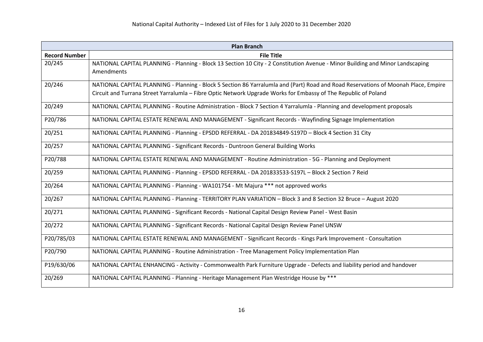| <b>Plan Branch</b>   |                                                                                                                                                                                                                                                       |
|----------------------|-------------------------------------------------------------------------------------------------------------------------------------------------------------------------------------------------------------------------------------------------------|
| <b>Record Number</b> | <b>File Title</b>                                                                                                                                                                                                                                     |
| 20/245               | NATIONAL CAPITAL PLANNING - Planning - Block 13 Section 10 City - 2 Constitution Avenue - Minor Building and Minor Landscaping<br>Amendments                                                                                                          |
| 20/246               | NATIONAL CAPITAL PLANNING - Planning - Block 5 Section 86 Yarralumla and (Part) Road and Road Reservations of Moonah Place, Empire<br>Circuit and Turrana Street Yarralumla - Fibre Optic Network Upgrade Works for Embassy of The Republic of Poland |
| 20/249               | NATIONAL CAPITAL PLANNING - Routine Administration - Block 7 Section 4 Yarralumla - Planning and development proposals                                                                                                                                |
| P20/786              | NATIONAL CAPITAL ESTATE RENEWAL AND MANAGEMENT - Significant Records - Wayfinding Signage Implementation                                                                                                                                              |
| 20/251               | NATIONAL CAPITAL PLANNING - Planning - EPSDD REFERRAL - DA 201834849-S197D - Block 4 Section 31 City                                                                                                                                                  |
| 20/257               | NATIONAL CAPITAL PLANNING - Significant Records - Duntroon General Building Works                                                                                                                                                                     |
| P20/788              | NATIONAL CAPITAL ESTATE RENEWAL AND MANAGEMENT - Routine Administration - 5G - Planning and Deployment                                                                                                                                                |
| 20/259               | NATIONAL CAPITAL PLANNING - Planning - EPSDD REFERRAL - DA 201833533-S197L - Block 2 Section 7 Reid                                                                                                                                                   |
| 20/264               | NATIONAL CAPITAL PLANNING - Planning - WA101754 - Mt Majura *** not approved works                                                                                                                                                                    |
| 20/267               | NATIONAL CAPITAL PLANNING - Planning - TERRITORY PLAN VARIATION - Block 3 and 8 Section 32 Bruce - August 2020                                                                                                                                        |
| 20/271               | NATIONAL CAPITAL PLANNING - Significant Records - National Capital Design Review Panel - West Basin                                                                                                                                                   |
| 20/272               | NATIONAL CAPITAL PLANNING - Significant Records - National Capital Design Review Panel UNSW                                                                                                                                                           |
| P20/785/03           | NATIONAL CAPITAL ESTATE RENEWAL AND MANAGEMENT - Significant Records - Kings Park Improvement - Consultation                                                                                                                                          |
| P20/790              | NATIONAL CAPITAL PLANNING - Routine Administration - Tree Management Policy Implementation Plan                                                                                                                                                       |
| P19/630/06           | NATIONAL CAPITAL ENHANCING - Activity - Commonwealth Park Furniture Upgrade - Defects and liability period and handover                                                                                                                               |
| 20/269               | NATIONAL CAPITAL PLANNING - Planning - Heritage Management Plan Westridge House by ***                                                                                                                                                                |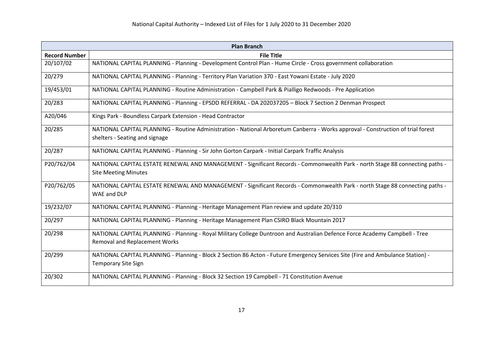| <b>Plan Branch</b>   |                                                                                                                                                                     |
|----------------------|---------------------------------------------------------------------------------------------------------------------------------------------------------------------|
| <b>Record Number</b> | <b>File Title</b>                                                                                                                                                   |
| 20/107/02            | NATIONAL CAPITAL PLANNING - Planning - Development Control Plan - Hume Circle - Cross government collaboration                                                      |
| 20/279               | NATIONAL CAPITAL PLANNING - Planning - Territory Plan Variation 370 - East Yowani Estate - July 2020                                                                |
| 19/453/01            | NATIONAL CAPITAL PLANNING - Routine Administration - Campbell Park & Pialligo Redwoods - Pre Application                                                            |
| 20/283               | NATIONAL CAPITAL PLANNING - Planning - EPSDD REFERRAL - DA 202037205 - Block 7 Section 2 Denman Prospect                                                            |
| A20/046              | Kings Park - Boundless Carpark Extension - Head Contractor                                                                                                          |
| 20/285               | NATIONAL CAPITAL PLANNING - Routine Administration - National Arboretum Canberra - Works approval - Construction of trial forest<br>shelters - Seating and signage  |
| 20/287               | NATIONAL CAPITAL PLANNING - Planning - Sir John Gorton Carpark - Initial Carpark Traffic Analysis                                                                   |
| P20/762/04           | NATIONAL CAPITAL ESTATE RENEWAL AND MANAGEMENT - Significant Records - Commonwealth Park - north Stage 88 connecting paths -<br><b>Site Meeting Minutes</b>         |
| P20/762/05           | NATIONAL CAPITAL ESTATE RENEWAL AND MANAGEMENT - Significant Records - Commonwealth Park - north Stage 88 connecting paths -<br>WAE and DLP                         |
| 19/232/07            | NATIONAL CAPITAL PLANNING - Planning - Heritage Management Plan review and update 20/310                                                                            |
| 20/297               | NATIONAL CAPITAL PLANNING - Planning - Heritage Management Plan CSIRO Black Mountain 2017                                                                           |
| 20/298               | NATIONAL CAPITAL PLANNING - Planning - Royal Military College Duntroon and Australian Defence Force Academy Campbell - Tree<br><b>Removal and Replacement Works</b> |
| 20/299               | NATIONAL CAPITAL PLANNING - Planning - Block 2 Section 86 Acton - Future Emergency Services Site (Fire and Ambulance Station) -<br><b>Temporary Site Sign</b>       |
| 20/302               | NATIONAL CAPITAL PLANNING - Planning - Block 32 Section 19 Campbell - 71 Constitution Avenue                                                                        |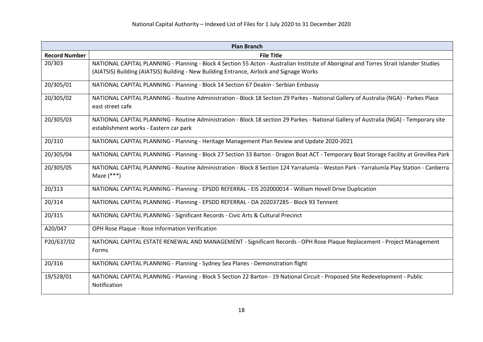| <b>Plan Branch</b>   |                                                                                                                                         |
|----------------------|-----------------------------------------------------------------------------------------------------------------------------------------|
| <b>Record Number</b> | <b>File Title</b>                                                                                                                       |
| 20/303               | NATIONAL CAPITAL PLANNING - Planning - Block 4 Section 55 Acton - Australian Institute of Aboriginal and Torres Strait Islander Studies |
|                      | (AIATSIS) Building (AIATSIS) Building - New Building Entrance, Airlock and Signage Works                                                |
| 20/305/01            | NATIONAL CAPITAL PLANNING - Planning - Block 14 Section 67 Deakin - Serbian Embassy                                                     |
| 20/305/02            | NATIONAL CAPITAL PLANNING - Routine Administration - Block 18 Section 29 Parkes - National Gallery of Australia (NGA) - Parkes Place    |
|                      | east street cafe                                                                                                                        |
| 20/305/03            | NATIONAL CAPITAL PLANNING - Routine Administration - Block 18 section 29 Parkes - National Gallery of Australia (NGA) - Temporary site  |
|                      | establishment works - Eastern car park                                                                                                  |
| 20/310               | NATIONAL CAPITAL PLANNING - Planning - Heritage Management Plan Review and Update 2020-2021                                             |
| 20/305/04            | NATIONAL CAPITAL PLANNING - Planning - Block 27 Section 33 Barton - Dragon Boat ACT - Temporary Boat Storage Facility at Grevillea Park |
| 20/305/05            | NATIONAL CAPITAL PLANNING - Routine Administration - Block 8 Section 124 Yarralumla - Weston Park - Yarralumla Play Station - Canberra  |
|                      | Maze $(***)$                                                                                                                            |
| 20/313               | NATIONAL CAPITAL PLANNING - Planning - EPSDD REFERRAL - EIS 202000014 - William Hovell Drive Duplication                                |
| 20/314               | NATIONAL CAPITAL PLANNING - Planning - EPSDD REFERRAL - DA 202037285 - Block 93 Tennent                                                 |
| 20/315               | NATIONAL CAPITAL PLANNING - Significant Records - Civic Arts & Cultural Precinct                                                        |
| A20/047              | OPH Rose Plaque - Rose Information Verification                                                                                         |
| P20/637/02           | NATIONAL CAPITAL ESTATE RENEWAL AND MANAGEMENT - Significant Records - OPH Rose Plaque Replacement - Project Management                 |
|                      | Forms                                                                                                                                   |
| 20/316               | NATIONAL CAPITAL PLANNING - Planning - Sydney Sea Planes - Demonstration flight                                                         |
| 19/528/01            | NATIONAL CAPITAL PLANNING - Planning - Block 5 Section 22 Barton - 19 National Circuit - Proposed Site Redevelopment - Public           |
|                      | Notification                                                                                                                            |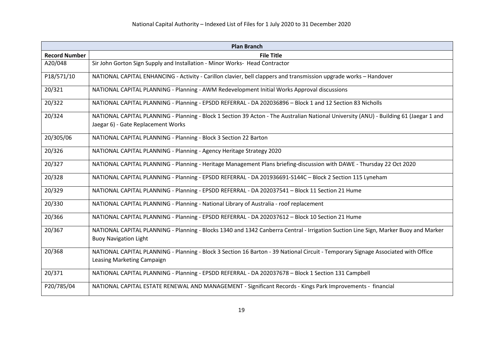| <b>Plan Branch</b>   |                                                                                                                                                                              |
|----------------------|------------------------------------------------------------------------------------------------------------------------------------------------------------------------------|
| <b>Record Number</b> | <b>File Title</b>                                                                                                                                                            |
| A20/048              | Sir John Gorton Sign Supply and Installation - Minor Works- Head Contractor                                                                                                  |
| P18/571/10           | NATIONAL CAPITAL ENHANCING - Activity - Carillon clavier, bell clappers and transmission upgrade works - Handover                                                            |
| 20/321               | NATIONAL CAPITAL PLANNING - Planning - AWM Redevelopment Initial Works Approval discussions                                                                                  |
| 20/322               | NATIONAL CAPITAL PLANNING - Planning - EPSDD REFERRAL - DA 202036896 - Block 1 and 12 Section 83 Nicholls                                                                    |
| 20/324               | NATIONAL CAPITAL PLANNING - Planning - Block 1 Section 39 Acton - The Australian National University (ANU) - Building 61 (Jaegar 1 and<br>Jaegar 6) - Gate Replacement Works |
| 20/305/06            | NATIONAL CAPITAL PLANNING - Planning - Block 3 Section 22 Barton                                                                                                             |
| 20/326               | NATIONAL CAPITAL PLANNING - Planning - Agency Heritage Strategy 2020                                                                                                         |
| 20/327               | NATIONAL CAPITAL PLANNING - Planning - Heritage Management Plans briefing-discussion with DAWE - Thursday 22 Oct 2020                                                        |
| 20/328               | NATIONAL CAPITAL PLANNING - Planning - EPSDD REFERRAL - DA 201936691-S144C - Block 2 Section 115 Lyneham                                                                     |
| 20/329               | NATIONAL CAPITAL PLANNING - Planning - EPSDD REFERRAL - DA 202037541 - Block 11 Section 21 Hume                                                                              |
| 20/330               | NATIONAL CAPITAL PLANNING - Planning - National Library of Australia - roof replacement                                                                                      |
| 20/366               | NATIONAL CAPITAL PLANNING - Planning - EPSDD REFERRAL - DA 202037612 - Block 10 Section 21 Hume                                                                              |
| 20/367               | NATIONAL CAPITAL PLANNING - Planning - Blocks 1340 and 1342 Canberra Central - Irrigation Suction Line Sign, Marker Buoy and Marker<br><b>Buoy Navigation Light</b>          |
| 20/368               | NATIONAL CAPITAL PLANNING - Planning - Block 3 Section 16 Barton - 39 National Circuit - Temporary Signage Associated with Office<br>Leasing Marketing Campaign              |
| 20/371               | NATIONAL CAPITAL PLANNING - Planning - EPSDD REFERRAL - DA 202037678 - Block 1 Section 131 Campbell                                                                          |
| P20/785/04           | NATIONAL CAPITAL ESTATE RENEWAL AND MANAGEMENT - Significant Records - Kings Park Improvements - financial                                                                   |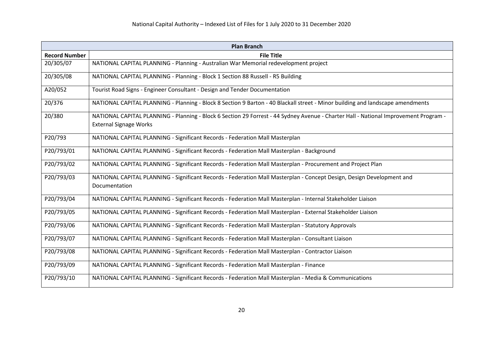| <b>Plan Branch</b>   |                                                                                                                                                                       |
|----------------------|-----------------------------------------------------------------------------------------------------------------------------------------------------------------------|
| <b>Record Number</b> | <b>File Title</b>                                                                                                                                                     |
| 20/305/07            | NATIONAL CAPITAL PLANNING - Planning - Australian War Memorial redevelopment project                                                                                  |
| 20/305/08            | NATIONAL CAPITAL PLANNING - Planning - Block 1 Section 88 Russell - R5 Building                                                                                       |
| A20/052              | Tourist Road Signs - Engineer Consultant - Design and Tender Documentation                                                                                            |
| 20/376               | NATIONAL CAPITAL PLANNING - Planning - Block 8 Section 9 Barton - 40 Blackall street - Minor building and landscape amendments                                        |
| 20/380               | NATIONAL CAPITAL PLANNING - Planning - Block 6 Section 29 Forrest - 44 Sydney Avenue - Charter Hall - National Improvement Program -<br><b>External Signage Works</b> |
| P20/793              | NATIONAL CAPITAL PLANNING - Significant Records - Federation Mall Masterplan                                                                                          |
| P20/793/01           | NATIONAL CAPITAL PLANNING - Significant Records - Federation Mall Masterplan - Background                                                                             |
| P20/793/02           | NATIONAL CAPITAL PLANNING - Significant Records - Federation Mall Masterplan - Procurement and Project Plan                                                           |
| P20/793/03           | NATIONAL CAPITAL PLANNING - Significant Records - Federation Mall Masterplan - Concept Design, Design Development and<br>Documentation                                |
| P20/793/04           | NATIONAL CAPITAL PLANNING - Significant Records - Federation Mall Masterplan - Internal Stakeholder Liaison                                                           |
| P20/793/05           | NATIONAL CAPITAL PLANNING - Significant Records - Federation Mall Masterplan - External Stakeholder Liaison                                                           |
| P20/793/06           | NATIONAL CAPITAL PLANNING - Significant Records - Federation Mall Masterplan - Statutory Approvals                                                                    |
| P20/793/07           | NATIONAL CAPITAL PLANNING - Significant Records - Federation Mall Masterplan - Consultant Liaison                                                                     |
| P20/793/08           | NATIONAL CAPITAL PLANNING - Significant Records - Federation Mall Masterplan - Contractor Liaison                                                                     |
| P20/793/09           | NATIONAL CAPITAL PLANNING - Significant Records - Federation Mall Masterplan - Finance                                                                                |
| P20/793/10           | NATIONAL CAPITAL PLANNING - Significant Records - Federation Mall Masterplan - Media & Communications                                                                 |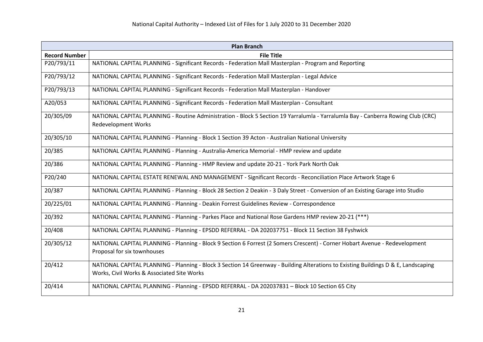| <b>Plan Branch</b>   |                                                                                                                                                                                  |
|----------------------|----------------------------------------------------------------------------------------------------------------------------------------------------------------------------------|
| <b>Record Number</b> | <b>File Title</b>                                                                                                                                                                |
| P20/793/11           | NATIONAL CAPITAL PLANNING - Significant Records - Federation Mall Masterplan - Program and Reporting                                                                             |
| P20/793/12           | NATIONAL CAPITAL PLANNING - Significant Records - Federation Mall Masterplan - Legal Advice                                                                                      |
| P20/793/13           | NATIONAL CAPITAL PLANNING - Significant Records - Federation Mall Masterplan - Handover                                                                                          |
| A20/053              | NATIONAL CAPITAL PLANNING - Significant Records - Federation Mall Masterplan - Consultant                                                                                        |
| 20/305/09            | NATIONAL CAPITAL PLANNING - Routine Administration - Block 5 Section 19 Yarralumla - Yarralumla Bay - Canberra Rowing Club (CRC)<br><b>Redevelopment Works</b>                   |
| 20/305/10            | NATIONAL CAPITAL PLANNING - Planning - Block 1 Section 39 Acton - Australian National University                                                                                 |
| 20/385               | NATIONAL CAPITAL PLANNING - Planning - Australia-America Memorial - HMP review and update                                                                                        |
| 20/386               | NATIONAL CAPITAL PLANNING - Planning - HMP Review and update 20-21 - York Park North Oak                                                                                         |
| P20/240              | NATIONAL CAPITAL ESTATE RENEWAL AND MANAGEMENT - Significant Records - Reconciliation Place Artwork Stage 6                                                                      |
| 20/387               | NATIONAL CAPITAL PLANNING - Planning - Block 28 Section 2 Deakin - 3 Daly Street - Conversion of an Existing Garage into Studio                                                  |
| 20/225/01            | NATIONAL CAPITAL PLANNING - Planning - Deakin Forrest Guidelines Review - Correspondence                                                                                         |
| 20/392               | NATIONAL CAPITAL PLANNING - Planning - Parkes Place and National Rose Gardens HMP review 20-21 (***)                                                                             |
| 20/408               | NATIONAL CAPITAL PLANNING - Planning - EPSDD REFERRAL - DA 202037751 - Block 11 Section 38 Fyshwick                                                                              |
| 20/305/12            | NATIONAL CAPITAL PLANNING - Planning - Block 9 Section 6 Forrest (2 Somers Crescent) - Corner Hobart Avenue - Redevelopment<br>Proposal for six townhouses                       |
| 20/412               | NATIONAL CAPITAL PLANNING - Planning - Block 3 Section 14 Greenway - Building Alterations to Existing Buildings D & E, Landscaping<br>Works, Civil Works & Associated Site Works |
| 20/414               | NATIONAL CAPITAL PLANNING - Planning - EPSDD REFERRAL - DA 202037831 - Block 10 Section 65 City                                                                                  |